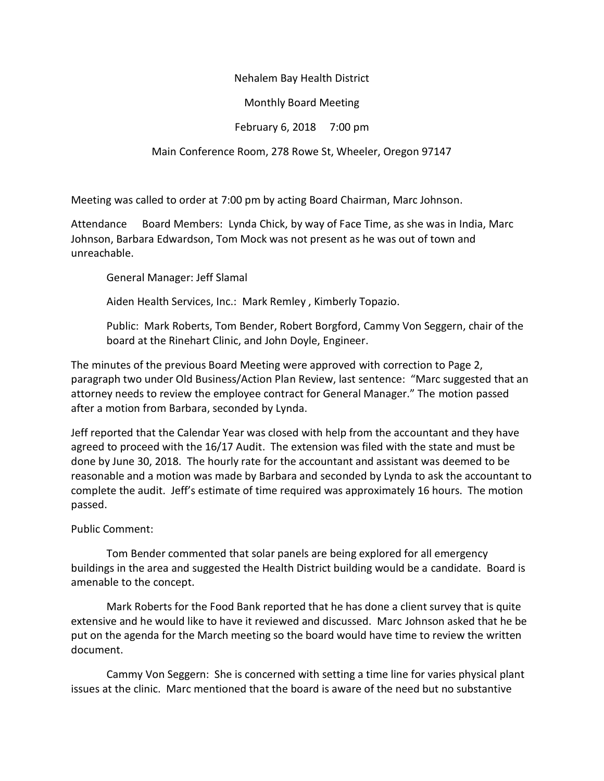### Nehalem Bay Health District

### Monthly Board Meeting

# February 6, 2018 7:00 pm

## Main Conference Room, 278 Rowe St, Wheeler, Oregon 97147

Meeting was called to order at 7:00 pm by acting Board Chairman, Marc Johnson.

Attendance Board Members: Lynda Chick, by way of Face Time, as she was in India, Marc Johnson, Barbara Edwardson, Tom Mock was not present as he was out of town and unreachable.

General Manager: Jeff Slamal

Aiden Health Services, Inc.: Mark Remley , Kimberly Topazio.

Public: Mark Roberts, Tom Bender, Robert Borgford, Cammy Von Seggern, chair of the board at the Rinehart Clinic, and John Doyle, Engineer.

The minutes of the previous Board Meeting were approved with correction to Page 2, paragraph two under Old Business/Action Plan Review, last sentence: "Marc suggested that an attorney needs to review the employee contract for General Manager." The motion passed after a motion from Barbara, seconded by Lynda.

Jeff reported that the Calendar Year was closed with help from the accountant and they have agreed to proceed with the 16/17 Audit. The extension was filed with the state and must be done by June 30, 2018. The hourly rate for the accountant and assistant was deemed to be reasonable and a motion was made by Barbara and seconded by Lynda to ask the accountant to complete the audit. Jeff's estimate of time required was approximately 16 hours. The motion passed.

Public Comment:

Tom Bender commented that solar panels are being explored for all emergency buildings in the area and suggested the Health District building would be a candidate. Board is amenable to the concept.

Mark Roberts for the Food Bank reported that he has done a client survey that is quite extensive and he would like to have it reviewed and discussed. Marc Johnson asked that he be put on the agenda for the March meeting so the board would have time to review the written document.

Cammy Von Seggern: She is concerned with setting a time line for varies physical plant issues at the clinic. Marc mentioned that the board is aware of the need but no substantive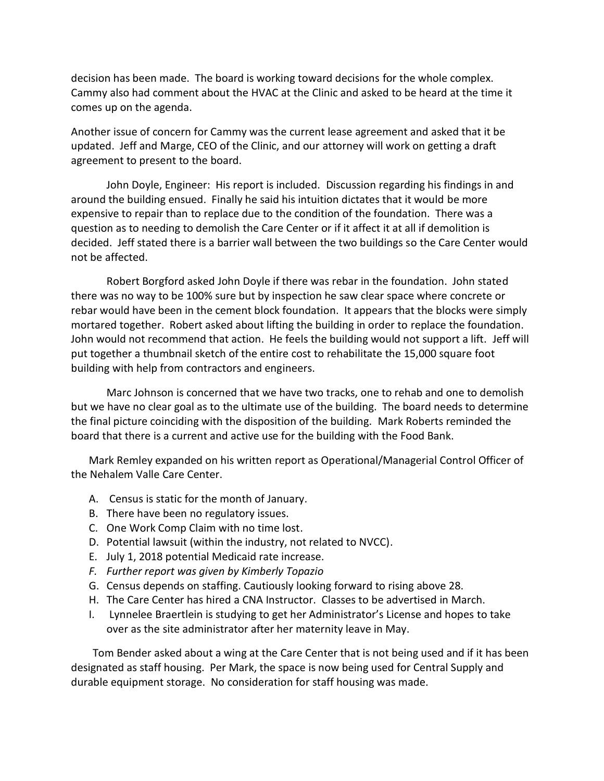decision has been made. The board is working toward decisions for the whole complex. Cammy also had comment about the HVAC at the Clinic and asked to be heard at the time it comes up on the agenda.

Another issue of concern for Cammy was the current lease agreement and asked that it be updated. Jeff and Marge, CEO of the Clinic, and our attorney will work on getting a draft agreement to present to the board.

John Doyle, Engineer: His report is included. Discussion regarding his findings in and around the building ensued. Finally he said his intuition dictates that it would be more expensive to repair than to replace due to the condition of the foundation. There was a question as to needing to demolish the Care Center or if it affect it at all if demolition is decided. Jeff stated there is a barrier wall between the two buildings so the Care Center would not be affected.

Robert Borgford asked John Doyle if there was rebar in the foundation. John stated there was no way to be 100% sure but by inspection he saw clear space where concrete or rebar would have been in the cement block foundation. It appears that the blocks were simply mortared together. Robert asked about lifting the building in order to replace the foundation. John would not recommend that action. He feels the building would not support a lift. Jeff will put together a thumbnail sketch of the entire cost to rehabilitate the 15,000 square foot building with help from contractors and engineers.

Marc Johnson is concerned that we have two tracks, one to rehab and one to demolish but we have no clear goal as to the ultimate use of the building. The board needs to determine the final picture coinciding with the disposition of the building. Mark Roberts reminded the board that there is a current and active use for the building with the Food Bank.

Mark Remley expanded on his written report as Operational/Managerial Control Officer of the Nehalem Valle Care Center.

- A. Census is static for the month of January.
- B. There have been no regulatory issues.
- C. One Work Comp Claim with no time lost.
- D. Potential lawsuit (within the industry, not related to NVCC).
- E. July 1, 2018 potential Medicaid rate increase.
- *F. Further report was given by Kimberly Topazio*
- G. Census depends on staffing. Cautiously looking forward to rising above 28.
- H. The Care Center has hired a CNA Instructor. Classes to be advertised in March.
- I. Lynnelee Braertlein is studying to get her Administrator's License and hopes to take over as the site administrator after her maternity leave in May.

 Tom Bender asked about a wing at the Care Center that is not being used and if it has been designated as staff housing. Per Mark, the space is now being used for Central Supply and durable equipment storage. No consideration for staff housing was made.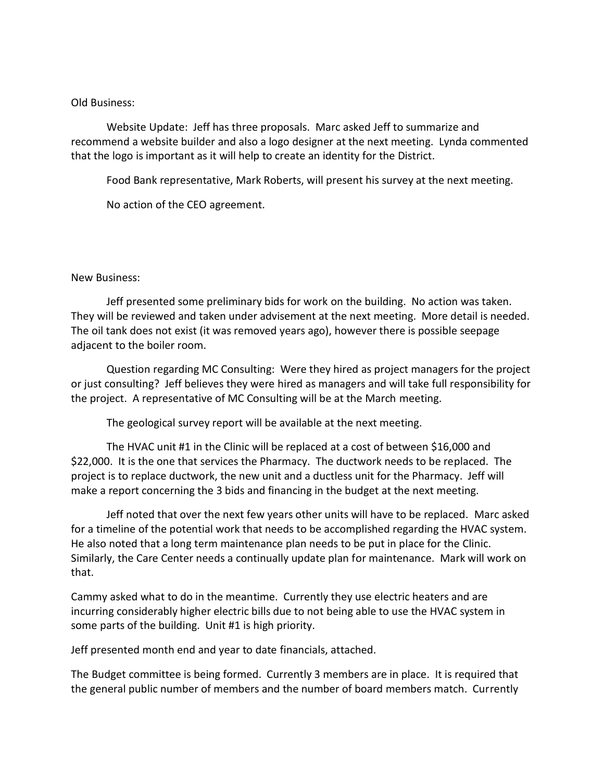#### Old Business:

Website Update: Jeff has three proposals. Marc asked Jeff to summarize and recommend a website builder and also a logo designer at the next meeting. Lynda commented that the logo is important as it will help to create an identity for the District.

Food Bank representative, Mark Roberts, will present his survey at the next meeting.

No action of the CEO agreement.

#### New Business:

Jeff presented some preliminary bids for work on the building. No action was taken. They will be reviewed and taken under advisement at the next meeting. More detail is needed. The oil tank does not exist (it was removed years ago), however there is possible seepage adjacent to the boiler room.

Question regarding MC Consulting: Were they hired as project managers for the project or just consulting? Jeff believes they were hired as managers and will take full responsibility for the project. A representative of MC Consulting will be at the March meeting.

The geological survey report will be available at the next meeting.

The HVAC unit #1 in the Clinic will be replaced at a cost of between \$16,000 and \$22,000. It is the one that services the Pharmacy. The ductwork needs to be replaced. The project is to replace ductwork, the new unit and a ductless unit for the Pharmacy. Jeff will make a report concerning the 3 bids and financing in the budget at the next meeting.

Jeff noted that over the next few years other units will have to be replaced. Marc asked for a timeline of the potential work that needs to be accomplished regarding the HVAC system. He also noted that a long term maintenance plan needs to be put in place for the Clinic. Similarly, the Care Center needs a continually update plan for maintenance. Mark will work on that.

Cammy asked what to do in the meantime. Currently they use electric heaters and are incurring considerably higher electric bills due to not being able to use the HVAC system in some parts of the building. Unit #1 is high priority.

Jeff presented month end and year to date financials, attached.

The Budget committee is being formed. Currently 3 members are in place. It is required that the general public number of members and the number of board members match. Currently